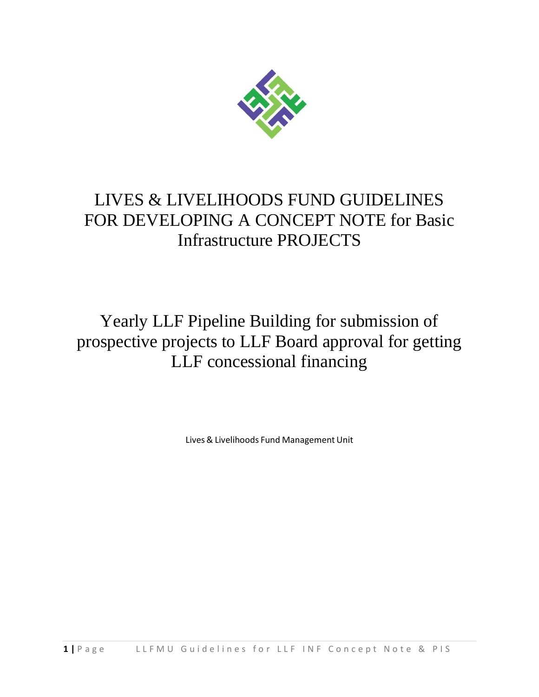

## LIVES & LIVELIHOODS FUND GUIDELINES FOR DEVELOPING A CONCEPT NOTE for Basic Infrastructure PROJECTS

Yearly LLF Pipeline Building for submission of prospective projects to LLF Board approval for getting LLF concessional financing

Lives& Livelihoods Fund Management Unit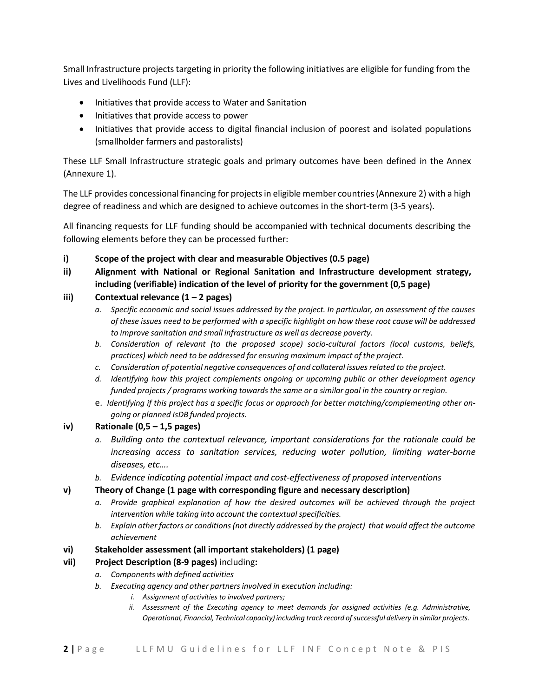Small Infrastructure projects targeting in priority the following initiatives are eligible for funding from the Lives and Livelihoods Fund (LLF):

- Initiatives that provide access to Water and Sanitation
- Initiatives that provide access to power
- Initiatives that provide access to digital financial inclusion of poorest and isolated populations (smallholder farmers and pastoralists)

These LLF Small Infrastructure strategic goals and primary outcomes have been defined in the Annex (Annexure 1).

The LLF provides concessional financing for projects in eligible member countries (Annexure 2) with a high degree of readiness and which are designed to achieve outcomes in the short-term (3-5 years).

All financing requests for LLF funding should be accompanied with technical documents describing the following elements before they can be processed further:

- **i) Scope of the project with clear and measurable Objectives (0.5 page)**
- **ii) Alignment with National or Regional Sanitation and Infrastructure development strategy, including (verifiable) indication of the level of priority for the government (0,5 page)**

## **iii) Contextual relevance (1 – 2 pages)**

- a. Specific economic and social issues addressed by the project. In particular, an assessment of the causes of these issues need to be performed with a specific highlight on how these root cause will be addressed *to improve sanitation and small infrastructure as well as decrease poverty.*
- *b. Consideration of relevant (to the proposed scope) socio-cultural factors (local customs, beliefs, practices) which need to be addressed for ensuring maximum impact of the project.*
- *c. Consideration of potential negative consequences of and collateral issuesrelated to the project.*
- *d. Identifying how this project complements ongoing or upcoming public or other development agency funded projects / programs working towards the same or a similar goal in the country or region.*
- e. *Identifying if this project has a specific focus or approach for better matching/complementing other ongoing or planned IsDB funded projects.*

## **iv) Rationale (0,5 – 1,5 pages)**

- *a. Building onto the contextual relevance, important considerations for the rationale could be increasing access to sanitation services, reducing water pollution, limiting water-borne diseases, etc….*
- *b. Evidence indicating potential impact and cost-effectiveness of proposed interventions*

## **v) Theory of Change (1 page with corresponding figure and necessary description)**

- *a. Provide graphical explanation of how the desired outcomes will be achieved through the project intervention while taking into account the contextualspecificities.*
- *b. Explain other factors or conditions(not directly addressed by the project) that would affect the outcome achievement*
- **vi) Stakeholder assessment (all important stakeholders) (1 page)**

## **vii) Project Description (8-9 pages)** including**:**

- *a. Components with defined activities*
- *b. Executing agency and other partnersinvolved in execution including:*
	- *i. Assignment of activities to involved partners;*
	- *ii. Assessment of the Executing agency to meet demands for assigned activities (e.g. Administrative, Operational, Financial, Technical capacity) including track record ofsuccessful delivery in similar projects.*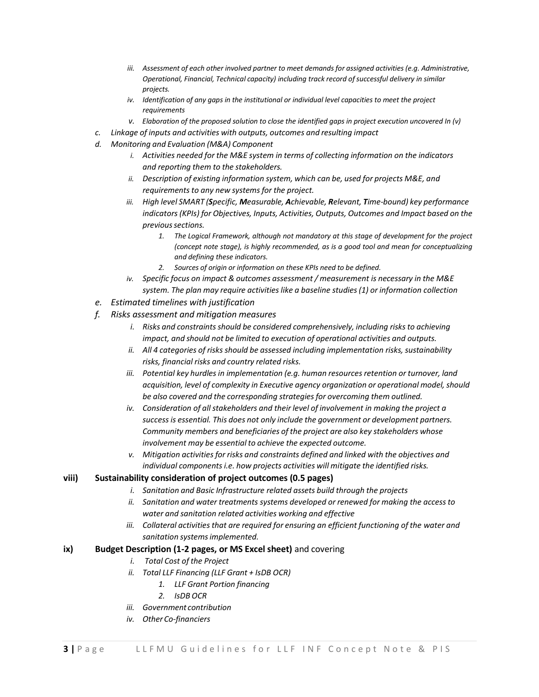- *iii. Assessment of each other involved partner to meet demands for assigned activities (e.g. Administrative, Operational, Financial, Technical capacity) including track record ofsuccessful delivery in similar projects.*
- *iv. Identification of any gaps in the institutional or individual level capacities to meet the project requirements*
- *v. Elaboration of the proposed solution to close the identified gaps in project execution uncovered In (v)*
- *c. Linkage of inputs and activities with outputs, outcomes and resulting impact*
- *d. Monitoring and Evaluation (M&A) Component*
	- *i. Activities needed for the M&E system in terms of collecting information on the indicators and reporting them to the stakeholders.*
	- *ii. Description of existing information system, which can be, used for projects M&E, and requirements to any new systemsfor the project.*
	- *iii. High level SMART (Specific, Measurable, Achievable, Relevant, Time-bound) key performance indicators (KPIs) for Objectives, Inputs, Activities, Outputs, Outcomes and Impact based on the previoussections.*
		- *1. The Logical Framework, although not mandatory at this stage of development for the project (concept note stage), is highly recommended, as is a good tool and mean for conceptualizing and defining these indicators.*
		- *2. Sources of origin or information on these KPIs need to be defined.*
	- *iv. Specific focus on impact & outcomes assessment / measurement is necessary in the M&E system. The plan may require activitieslike a baseline studies(1) or information collection*
- *e. Estimated timelines with justification*
- *f. Risks assessment and mitigation measures*
	- *i. Risks and constraints should be considered comprehensively, including risksto achieving impact, and should not be limited to execution of operational activities and outputs.*
	- *ii. All 4 categories of risks should be assessed including implementation risks, sustainability risks, financial risks and country related risks.*
	- *iii. Potential key hurdlesin implementation (e.g. human resourcesretention or turnover, land acquisition, level of complexity in Executive agency organization or operational model, should be also covered and the corresponding strategiesfor overcoming them outlined.*
	- *iv. Consideration of allstakeholders and their level of involvement in making the project a success is essential. This does not only include the government or development partners. Community members and beneficiaries of the project are also key stakeholders whose involvement may be essential to achieve the expected outcome.*
	- *v. Mitigation activitiesfor risks and constraints defined and linked with the objectives and individual components i.e. how projects activities will mitigate the identified risks.*

#### **viii) Sustainability consideration of project outcomes (0.5 pages)**

- *i. Sanitation and Basic Infrastructure related assets build through the projects*
- *ii. Sanitation and water treatments systems developed or renewed for making the accessto water and sanitation related activities working and effective*
- *iii.* Collateral activities that are required for ensuring an efficient functioning of the water and *sanitation systemsimplemented.*

### **ix) Budget Description (1-2 pages, or MS Excel sheet)** and covering

- *i. Total Cost of the Project*
- *ii. Total LLF Financing (LLF Grant + IsDB OCR)*
	- *1. LLF Grant Portion financing*
	- *2. IsDB OCR*
- *iii. Government contribution*
- *iv. Other Co-financiers*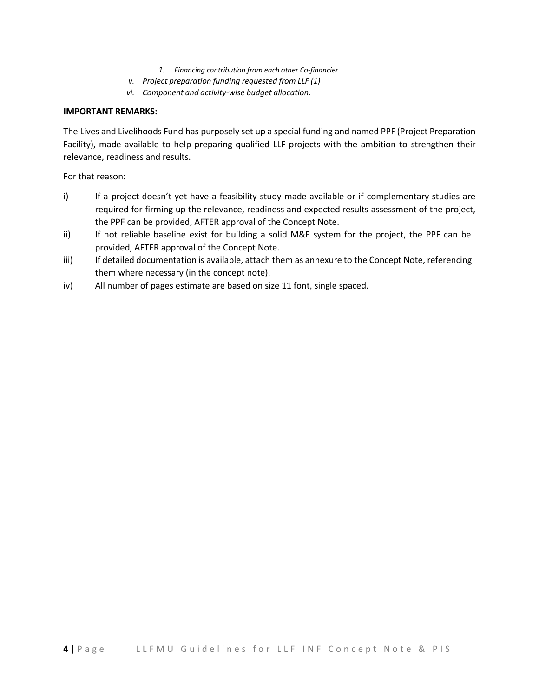- *1. Financing contribution from each other Co-financier*
- *v. Project preparation funding requested from LLF (1)*
- *vi. Component and activity-wise budget allocation.*

#### **IMPORTANT REMARKS:**

The Lives and Livelihoods Fund has purposely set up a special funding and named PPF (Project Preparation Facility), made available to help preparing qualified LLF projects with the ambition to strengthen their relevance, readiness and results.

For that reason:

- i) If a project doesn't yet have a feasibility study made available or if complementary studies are required for firming up the relevance, readiness and expected results assessment of the project, the PPF can be provided, AFTER approval of the Concept Note.
- ii) If not reliable baseline exist for building a solid M&E system for the project, the PPF can be provided, AFTER approval of the Concept Note.
- iii) If detailed documentation is available, attach them as annexure to the Concept Note, referencing them where necessary (in the concept note).
- iv) All number of pages estimate are based on size 11 font, single spaced.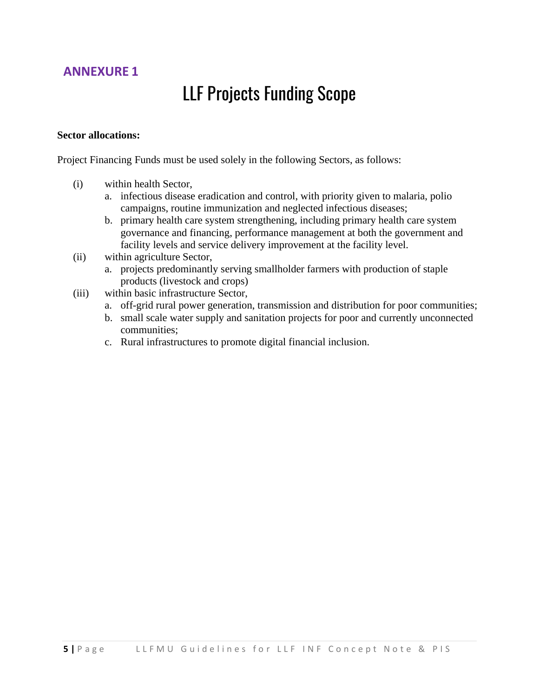## **ANNEXURE 1**

# LLF Projects Funding Scope

## **Sector allocations:**

Project Financing Funds must be used solely in the following Sectors, as follows:

- (i) within health Sector,
	- a. infectious disease eradication and control, with priority given to malaria, polio campaigns, routine immunization and neglected infectious diseases;
	- b. primary health care system strengthening, including primary health care system governance and financing, performance management at both the government and facility levels and service delivery improvement at the facility level.
- (ii) within agriculture Sector,
	- a. projects predominantly serving smallholder farmers with production of staple products (livestock and crops)
- (iii) within basic infrastructure Sector,
	- a. off-grid rural power generation, transmission and distribution for poor communities;
	- b. small scale water supply and sanitation projects for poor and currently unconnected communities;
	- c. Rural infrastructures to promote digital financial inclusion.